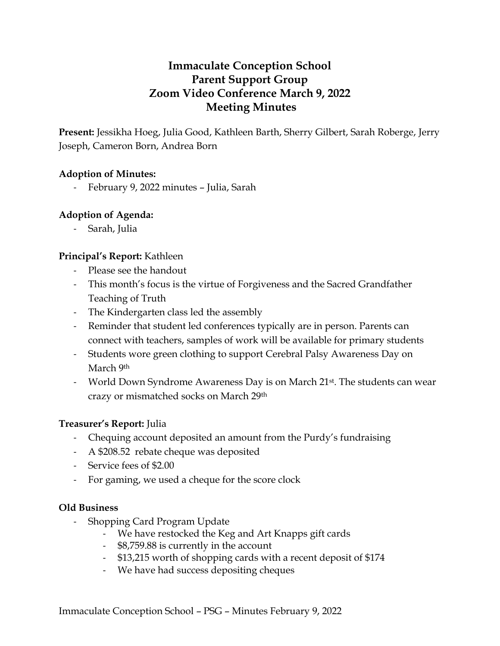# **Immaculate Conception School Parent Support Group Zoom Video Conference March 9, 2022 Meeting Minutes**

**Present:** Jessikha Hoeg, Julia Good, Kathleen Barth, Sherry Gilbert, Sarah Roberge, Jerry Joseph, Cameron Born, Andrea Born

## **Adoption of Minutes:**

- February 9, 2022 minutes – Julia, Sarah

## **Adoption of Agenda:**

- Sarah, Julia

## **Principal's Report:** Kathleen

- Please see the handout
- This month's focus is the virtue of Forgiveness and the Sacred Grandfather Teaching of Truth
- The Kindergarten class led the assembly
- Reminder that student led conferences typically are in person. Parents can connect with teachers, samples of work will be available for primary students
- Students wore green clothing to support Cerebral Palsy Awareness Day on March 9th
- World Down Syndrome Awareness Day is on March 21<sup>st</sup>. The students can wear crazy or mismatched socks on March 29th

## **Treasurer's Report:** Julia

- Chequing account deposited an amount from the Purdy's fundraising
- A \$208.52 rebate cheque was deposited
- Service fees of \$2.00
- For gaming, we used a cheque for the score clock

## **Old Business**

- Shopping Card Program Update
	- We have restocked the Keg and Art Knapps gift cards
	- \$8,759.88 is currently in the account
	- \$13,215 worth of shopping cards with a recent deposit of \$174
	- We have had success depositing cheques